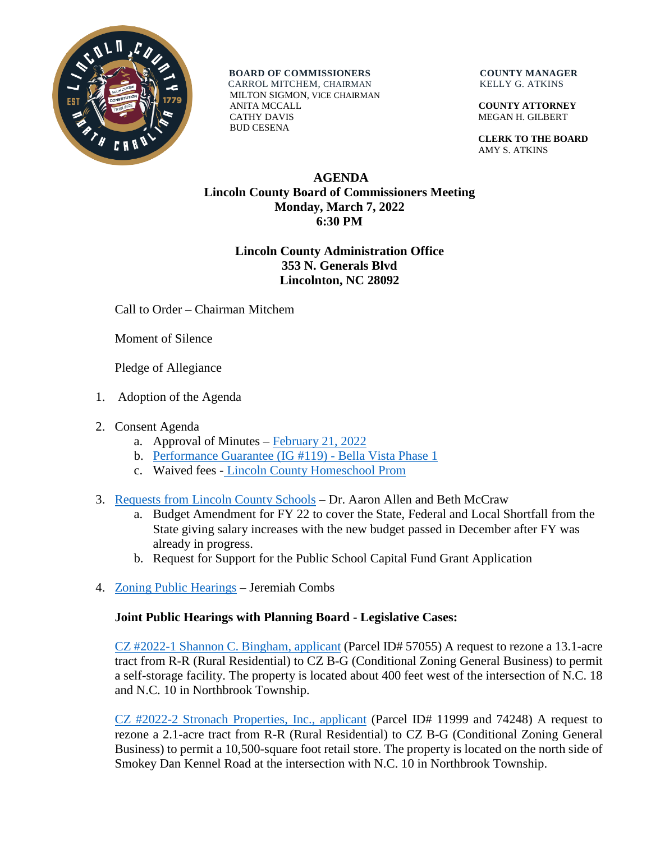

**BOARD OF COMMISSIONERS COUNTY MANAGER**  CARROL MITCHEM, CHAIRMAN KELLY G. ATKINS MILTON SIGMON, VICE CHAIRMAN ANITA MCCALL **COUNTY ATTORNEY** CATHY DAVIS MEGAN H. GILBERT BUD CESENA

 **CLERK TO THE BOARD** AMY S. ATKINS

## **AGENDA Lincoln County Board of Commissioners Meeting Monday, March 7, 2022 6:30 PM**

# **Lincoln County Administration Office 353 N. Generals Blvd Lincolnton, NC 28092**

Call to Order – Chairman Mitchem

Moment of Silence

Pledge of Allegiance

- 1. Adoption of the Agenda
- 2. Consent Agenda
	- a. Approval of Minutes [February 21, 2022](https://www.lincolncounty.org/DocumentCenter/View/18615/022122)
	- b. [Performance Guarantee \(IG #119\) -](https://www.lincolncounty.org/DocumentCenter/View/18580/030722Item2b) Bella Vista Phase 1
	- c. Waived fees [Lincoln County Homeschool Prom](https://www.lincolncounty.org/DocumentCenter/View/18616/030722Item2c)
- 3. [Requests from Lincoln County Schools](https://www.lincolncounty.org/DocumentCenter/View/18601/030722Item3) Dr. Aaron Allen and Beth McCraw
	- a. Budget Amendment for FY 22 to cover the State, Federal and Local Shortfall from the State giving salary increases with the new budget passed in December after FY was already in progress.
	- b. Request for Support for the Public School Capital Fund Grant Application
- 4. [Zoning Public Hearings](https://www.lincolncounty.org/DocumentCenter/View/18581/030722Item3) Jeremiah Combs

# **Joint Public Hearings with Planning Board - Legislative Cases:**

[CZ #2022-1 Shannon C. Bingham, applicant](https://www.lincolncounty.org/DocumentCenter/View/18570/030722Item3a) (Parcel ID# 57055) A request to rezone a 13.1-acre tract from R-R (Rural Residential) to CZ B-G (Conditional Zoning General Business) to permit a self-storage facility. The property is located about 400 feet west of the intersection of N.C. 18 and N.C. 10 in Northbrook Township.

[CZ #2022-2 Stronach Properties, Inc., applicant](https://www.lincolncounty.org/DocumentCenter/View/18571/030722Item3b) (Parcel ID# 11999 and 74248) A request to rezone a 2.1-acre tract from R-R (Rural Residential) to CZ B-G (Conditional Zoning General Business) to permit a 10,500-square foot retail store. The property is located on the north side of Smokey Dan Kennel Road at the intersection with N.C. 10 in Northbrook Township.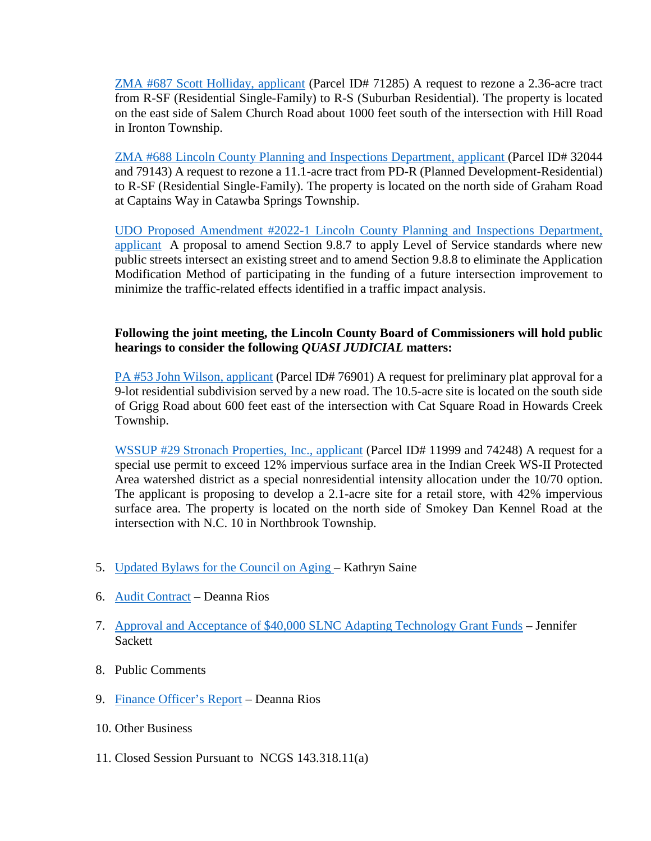[ZMA #687 Scott Holliday, applicant](https://www.lincolncounty.org/DocumentCenter/View/18572/030722Item3c) (Parcel ID# 71285) A request to rezone a 2.36-acre tract from R-SF (Residential Single-Family) to R-S (Suburban Residential). The property is located on the east side of Salem Church Road about 1000 feet south of the intersection with Hill Road in Ironton Township.

[ZMA #688 Lincoln County Planning and Inspections Department, applicant \(](https://www.lincolncounty.org/DocumentCenter/View/18573/030722Item3d)Parcel ID# 32044 and 79143) A request to rezone a 11.1-acre tract from PD-R (Planned Development-Residential) to R-SF (Residential Single-Family). The property is located on the north side of Graham Road at Captains Way in Catawba Springs Township.

[UDO Proposed Amendment #2022-1 Lincoln County Planning and Inspections Department,](https://www.lincolncounty.org/DocumentCenter/View/18574/030722Item3e)  [applicant](https://www.lincolncounty.org/DocumentCenter/View/18574/030722Item3e) A proposal to amend Section 9.8.7 to apply Level of Service standards where new public streets intersect an existing street and to amend Section 9.8.8 to eliminate the Application Modification Method of participating in the funding of a future intersection improvement to minimize the traffic-related effects identified in a traffic impact analysis.

## **Following the joint meeting, the Lincoln County Board of Commissioners will hold public hearings to consider the following** *QUASI JUDICIAL* **matters:**

PA #53 [John Wilson, applicant](https://www.lincolncounty.org/DocumentCenter/View/18575/030722Item3f) (Parcel ID# 76901) A request for preliminary plat approval for a 9-lot residential subdivision served by a new road. The 10.5-acre site is located on the south side of Grigg Road about 600 feet east of the intersection with Cat Square Road in Howards Creek Township.

[WSSUP #29 Stronach Properties, Inc., applicant](https://www.lincolncounty.org/DocumentCenter/View/18576/030722Item3g) (Parcel ID# 11999 and 74248) A request for a special use permit to exceed 12% impervious surface area in the Indian Creek WS-II Protected Area watershed district as a special nonresidential intensity allocation under the 10/70 option. The applicant is proposing to develop a 2.1-acre site for a retail store, with 42% impervious surface area. The property is located on the north side of Smokey Dan Kennel Road at the intersection with N.C. 10 in Northbrook Township.

- 5. [Updated Bylaws for the Council on Aging –](https://www.lincolncounty.org/DocumentCenter/View/18577/030722Item4) Kathryn Saine
- 6. [Audit Contract](https://www.lincolncounty.org/DocumentCenter/View/18578/030722Item5) Deanna Rios
- 7. [Approval and Acceptance of \\$40,000 SLNC Adapting Technology Grant Funds](https://www.lincolncounty.org/DocumentCenter/View/18579/030722Item6) Jennifer Sackett
- 8. Public Comments
- 9. [Finance Officer's Report](https://www.lincolncounty.org/DocumentCenter/View/18602/030722Item9) Deanna Rios
- 10. Other Business
- 11. Closed Session Pursuant to NCGS 143.318.11(a)